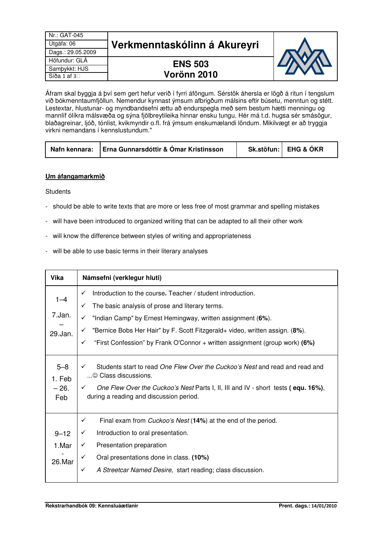| Nr.: GAT-045      |                              |  |
|-------------------|------------------------------|--|
| Útgáfa: 06        | Verkmenntaskólinn á Akureyri |  |
| Dags.: 29.05.2009 |                              |  |
| Höfundur: GLA     | <b>ENS 503</b>               |  |
| Sambykkt: HJS     |                              |  |
| Síða 1 af 3       | Vorönn 2010                  |  |

Áfram skal byggja á því sem gert hefur verið í fyrri áföngum. Sérstök áhersla er lögð á ritun í tengslum við bókmenntaumfjöllun. Nemendur kynnast ýmsum afbrigðum málsins eftir búsetu, menntun og stétt. Lestextar, hlustunar- og myndbandsefni ættu að endurspegla með sem bestum hætti menningu og mannlíf ólíkra málsvæða og sýna fjölbreytileika hinnar ensku tungu. Hér má t.d. hugsa sér smásögur, blaðagreinar, ljóð, tónlist, kvikmyndir o.fl. frá ýmsum enskumælandi löndum. Mikilvægt er að tryggja virkni nemandans í kennslustundum."

|  | Nafn kennara:   Erna Gunnarsdóttir & Ómar Kristinsson |  | Sk.stöfun: EHG & ÓKR |  |
|--|-------------------------------------------------------|--|----------------------|--|
|--|-------------------------------------------------------|--|----------------------|--|

## **Um áfangamarkmið**

**Students** 

- should be able to write texts that are more or less free of most grammar and spelling mistakes
- will have been introduced to organized writing that can be adapted to all their other work
- will know the difference between styles of writing and appropriateness
- will be able to use basic terms in their literary analyses

| <b>Vika</b>       | Námsefni (verklegur hluti)                                                                                                        |  |  |  |
|-------------------|-----------------------------------------------------------------------------------------------------------------------------------|--|--|--|
| $1 - 4$           | Introduction to the course. Teacher / student introduction.<br>$\checkmark$                                                       |  |  |  |
|                   | The basic analysis of prose and literary terms.<br>$\checkmark$                                                                   |  |  |  |
| 7.Jan.            | "Indian Camp" by Ernest Hemingway, written assignment (6%).<br>✓                                                                  |  |  |  |
| 29.Jan.           | "Bernice Bobs Her Hair" by F. Scott Fitzgerald+ video, written assign. (8%).<br>$\checkmark$                                      |  |  |  |
|                   | "First Confession" by Frank O'Connor + written assignment (group work) (6%)<br>$\checkmark$                                       |  |  |  |
| $5 - 8$<br>1. Feb | Students start to read One Flew Over the Cuckoo's Nest and read and read and<br>$\checkmark$<br>$\ldots$ © Class discussions.     |  |  |  |
| $-26.$<br>Feb     | One Flew Over the Cuckoo's Nest Parts I, II, III and IV - short tests (equ. 16%),<br>✓<br>during a reading and discussion period. |  |  |  |
|                   | $\checkmark$<br>Final exam from <i>Cuckoo's Nest</i> (14%) at the end of the period.                                              |  |  |  |
| $9 - 12$          | Introduction to oral presentation.<br>✓                                                                                           |  |  |  |
| 1.Mar             | Presentation preparation<br>✓                                                                                                     |  |  |  |
| 26.Mar            | Oral presentations done in class. (10%)<br>$\checkmark$                                                                           |  |  |  |
|                   | A Streetcar Named Desire, start reading; class discussion.<br>$\checkmark$                                                        |  |  |  |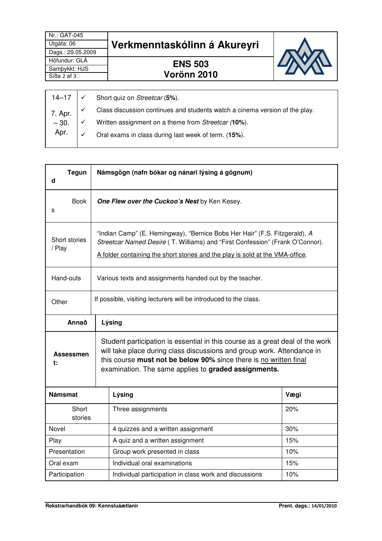| Nr.: GAT-045<br>Útgáfa: 06<br>Dags.: 29.05.2009 | Verkmenntaskólinn á Akureyri |  |
|-------------------------------------------------|------------------------------|--|
| Höfundur: GLÁ                                   | <b>ENS 503</b>               |  |
| Sampykkt: HJS                                   |                              |  |
| Síða 2 af 3                                     | Vorönn 2010                  |  |
|                                                 |                              |  |

|         | 14–17 $\vert \checkmark$ Short quiz on Streetcar (5%).                      |
|---------|-----------------------------------------------------------------------------|
| 7. Apr. | Class discussion continues and students watch a cinema version of the play. |
| $-30.$  | Written assignment on a theme from Streetcar (10%).                         |
| Apr.    | Oral exams in class during last week of term. (15%).                        |
|         |                                                                             |

| <b>Tegun</b><br>d                                                                                                                                                                                                                                                                                              |                                                                  | Námsgögn (nafn bókar og nánari lýsing á gögnum)                                                                                                                                                                                              |      |  |
|----------------------------------------------------------------------------------------------------------------------------------------------------------------------------------------------------------------------------------------------------------------------------------------------------------------|------------------------------------------------------------------|----------------------------------------------------------------------------------------------------------------------------------------------------------------------------------------------------------------------------------------------|------|--|
| <b>Book</b><br>s                                                                                                                                                                                                                                                                                               |                                                                  | One Flew over the Cuckoo's Nest by Ken Kesey.                                                                                                                                                                                                |      |  |
| Short stories<br>/ Play                                                                                                                                                                                                                                                                                        |                                                                  | "Indian Camp" (E. Hemingway), "Bernice Bobs Her Hair" (F.S. Fitzgerald), A<br>Streetcar Named Desire (T. Williams) and "First Confession" (Frank O'Connor).<br>A folder containing the short stories and the play is sold at the VMA-office. |      |  |
| Hand-outs                                                                                                                                                                                                                                                                                                      |                                                                  | Various texts and assignments handed out by the teacher.                                                                                                                                                                                     |      |  |
| Other                                                                                                                                                                                                                                                                                                          | If possible, visiting lecturers will be introduced to the class. |                                                                                                                                                                                                                                              |      |  |
| Annað                                                                                                                                                                                                                                                                                                          |                                                                  | Lýsing                                                                                                                                                                                                                                       |      |  |
| Student participation is essential in this course as a great deal of the work<br>will take place during class discussions and group work. Attendance in<br><b>Assessmen</b><br>this course must not be below 90% since there is no written final<br>t:<br>examination. The same applies to graded assignments. |                                                                  |                                                                                                                                                                                                                                              |      |  |
| <b>Námsmat</b>                                                                                                                                                                                                                                                                                                 |                                                                  | Lýsing                                                                                                                                                                                                                                       | Vægi |  |
| Short<br>stories                                                                                                                                                                                                                                                                                               |                                                                  | Three assignments                                                                                                                                                                                                                            | 20%  |  |
| Novel                                                                                                                                                                                                                                                                                                          |                                                                  | 4 quizzes and a written assignment                                                                                                                                                                                                           | 30%  |  |
| Play                                                                                                                                                                                                                                                                                                           |                                                                  | A quiz and a written assignment                                                                                                                                                                                                              | 15%  |  |
| Presentation                                                                                                                                                                                                                                                                                                   |                                                                  | Group work presented in class                                                                                                                                                                                                                | 10%  |  |
| Oral exam                                                                                                                                                                                                                                                                                                      |                                                                  | Individual oral examinations                                                                                                                                                                                                                 | 15%  |  |
| Participation<br>Individual participation in class work and discussions<br>10%                                                                                                                                                                                                                                 |                                                                  |                                                                                                                                                                                                                                              |      |  |